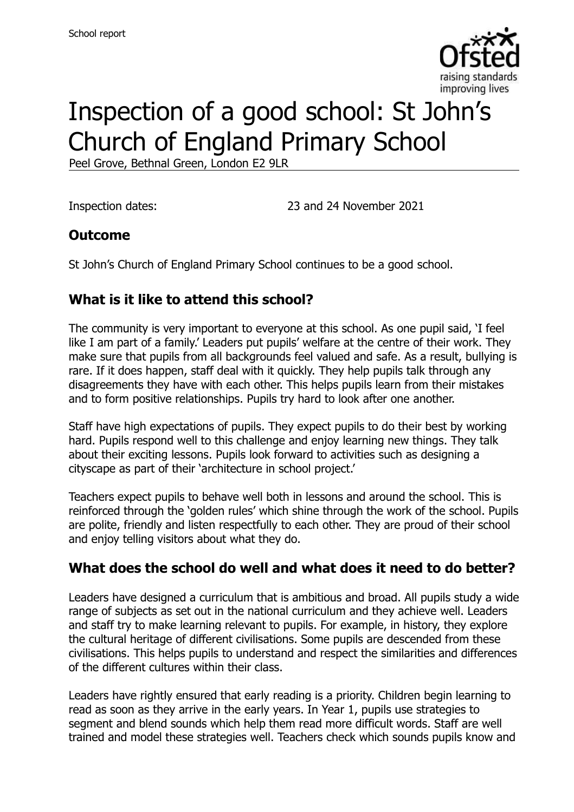

# Inspection of a good school: St John's Church of England Primary School

Peel Grove, Bethnal Green, London E2 9LR

Inspection dates: 23 and 24 November 2021

#### **Outcome**

St John's Church of England Primary School continues to be a good school.

# **What is it like to attend this school?**

The community is very important to everyone at this school. As one pupil said, 'I feel like I am part of a family.' Leaders put pupils' welfare at the centre of their work. They make sure that pupils from all backgrounds feel valued and safe. As a result, bullying is rare. If it does happen, staff deal with it quickly. They help pupils talk through any disagreements they have with each other. This helps pupils learn from their mistakes and to form positive relationships. Pupils try hard to look after one another.

Staff have high expectations of pupils. They expect pupils to do their best by working hard. Pupils respond well to this challenge and enjoy learning new things. They talk about their exciting lessons. Pupils look forward to activities such as designing a cityscape as part of their 'architecture in school project.'

Teachers expect pupils to behave well both in lessons and around the school. This is reinforced through the 'golden rules' which shine through the work of the school. Pupils are polite, friendly and listen respectfully to each other. They are proud of their school and enjoy telling visitors about what they do.

#### **What does the school do well and what does it need to do better?**

Leaders have designed a curriculum that is ambitious and broad. All pupils study a wide range of subjects as set out in the national curriculum and they achieve well. Leaders and staff try to make learning relevant to pupils. For example, in history, they explore the cultural heritage of different civilisations. Some pupils are descended from these civilisations. This helps pupils to understand and respect the similarities and differences of the different cultures within their class.

Leaders have rightly ensured that early reading is a priority. Children begin learning to read as soon as they arrive in the early years. In Year 1, pupils use strategies to segment and blend sounds which help them read more difficult words. Staff are well trained and model these strategies well. Teachers check which sounds pupils know and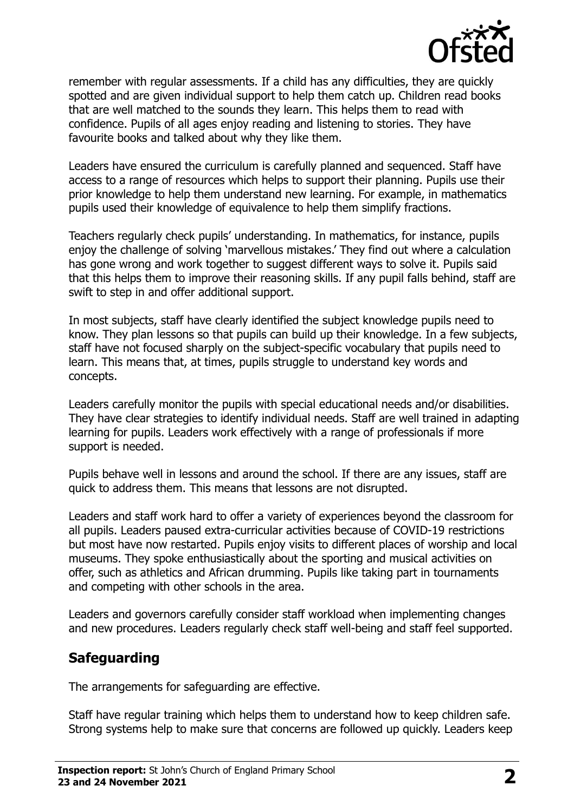

remember with regular assessments. If a child has any difficulties, they are quickly spotted and are given individual support to help them catch up. Children read books that are well matched to the sounds they learn. This helps them to read with confidence. Pupils of all ages enjoy reading and listening to stories. They have favourite books and talked about why they like them.

Leaders have ensured the curriculum is carefully planned and sequenced. Staff have access to a range of resources which helps to support their planning. Pupils use their prior knowledge to help them understand new learning. For example, in mathematics pupils used their knowledge of equivalence to help them simplify fractions.

Teachers regularly check pupils' understanding. In mathematics, for instance, pupils enjoy the challenge of solving 'marvellous mistakes.' They find out where a calculation has gone wrong and work together to suggest different ways to solve it. Pupils said that this helps them to improve their reasoning skills. If any pupil falls behind, staff are swift to step in and offer additional support.

In most subjects, staff have clearly identified the subject knowledge pupils need to know. They plan lessons so that pupils can build up their knowledge. In a few subjects, staff have not focused sharply on the subject-specific vocabulary that pupils need to learn. This means that, at times, pupils struggle to understand key words and concepts.

Leaders carefully monitor the pupils with special educational needs and/or disabilities. They have clear strategies to identify individual needs. Staff are well trained in adapting learning for pupils. Leaders work effectively with a range of professionals if more support is needed.

Pupils behave well in lessons and around the school. If there are any issues, staff are quick to address them. This means that lessons are not disrupted.

Leaders and staff work hard to offer a variety of experiences beyond the classroom for all pupils. Leaders paused extra-curricular activities because of COVID-19 restrictions but most have now restarted. Pupils enjoy visits to different places of worship and local museums. They spoke enthusiastically about the sporting and musical activities on offer, such as athletics and African drumming. Pupils like taking part in tournaments and competing with other schools in the area.

Leaders and governors carefully consider staff workload when implementing changes and new procedures. Leaders regularly check staff well-being and staff feel supported.

# **Safeguarding**

The arrangements for safeguarding are effective.

Staff have regular training which helps them to understand how to keep children safe. Strong systems help to make sure that concerns are followed up quickly. Leaders keep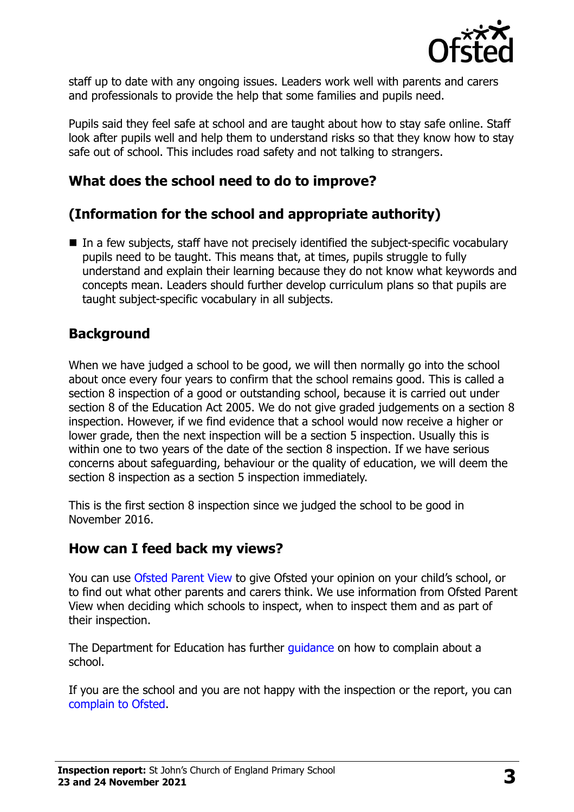

staff up to date with any ongoing issues. Leaders work well with parents and carers and professionals to provide the help that some families and pupils need.

Pupils said they feel safe at school and are taught about how to stay safe online. Staff look after pupils well and help them to understand risks so that they know how to stay safe out of school. This includes road safety and not talking to strangers.

### **What does the school need to do to improve?**

# **(Information for the school and appropriate authority)**

■ In a few subjects, staff have not precisely identified the subject-specific vocabulary pupils need to be taught. This means that, at times, pupils struggle to fully understand and explain their learning because they do not know what keywords and concepts mean. Leaders should further develop curriculum plans so that pupils are taught subject-specific vocabulary in all subjects.

### **Background**

When we have judged a school to be good, we will then normally go into the school about once every four years to confirm that the school remains good. This is called a section 8 inspection of a good or outstanding school, because it is carried out under section 8 of the Education Act 2005. We do not give graded judgements on a section 8 inspection. However, if we find evidence that a school would now receive a higher or lower grade, then the next inspection will be a section 5 inspection. Usually this is within one to two years of the date of the section 8 inspection. If we have serious concerns about safeguarding, behaviour or the quality of education, we will deem the section 8 inspection as a section 5 inspection immediately.

This is the first section 8 inspection since we judged the school to be good in November 2016.

#### **How can I feed back my views?**

You can use [Ofsted Parent View](https://parentview.ofsted.gov.uk/) to give Ofsted your opinion on your child's school, or to find out what other parents and carers think. We use information from Ofsted Parent View when deciding which schools to inspect, when to inspect them and as part of their inspection.

The Department for Education has further quidance on how to complain about a school.

If you are the school and you are not happy with the inspection or the report, you can [complain to Ofsted.](https://www.gov.uk/complain-ofsted-report)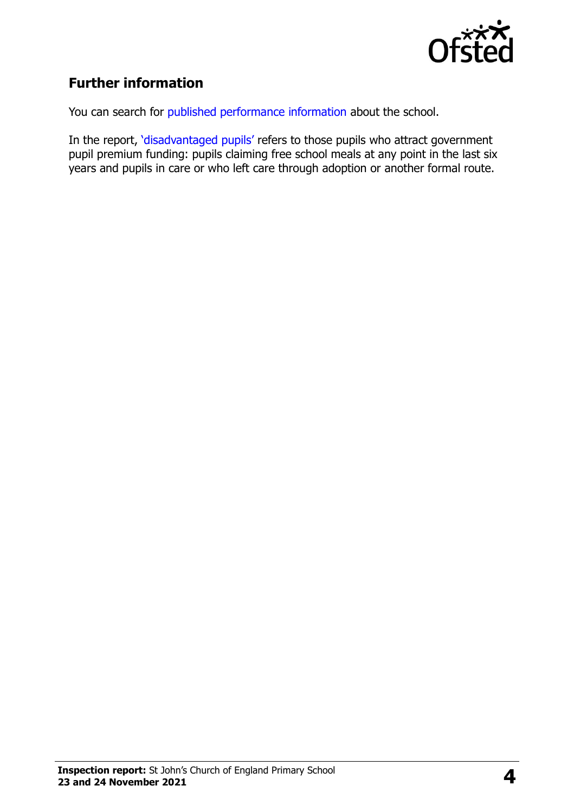

# **Further information**

You can search for [published performance information](http://www.compare-school-performance.service.gov.uk/) about the school.

In the report, '[disadvantaged pupils](http://www.gov.uk/guidance/pupil-premium-information-for-schools-and-alternative-provision-settings)' refers to those pupils who attract government pupil premium funding: pupils claiming free school meals at any point in the last six years and pupils in care or who left care through adoption or another formal route.

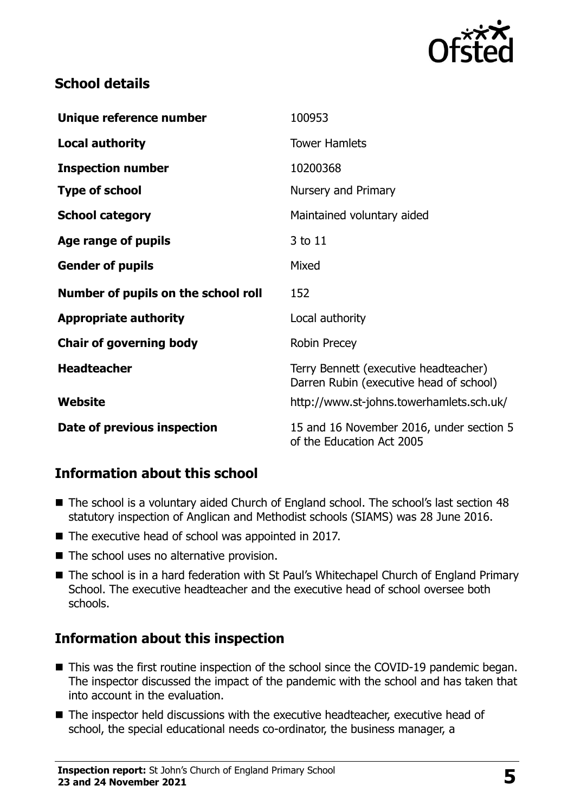

### **School details**

| Unique reference number             | 100953                                                                           |
|-------------------------------------|----------------------------------------------------------------------------------|
| <b>Local authority</b>              | <b>Tower Hamlets</b>                                                             |
| <b>Inspection number</b>            | 10200368                                                                         |
| <b>Type of school</b>               | Nursery and Primary                                                              |
| <b>School category</b>              | Maintained voluntary aided                                                       |
| Age range of pupils                 | 3 to 11                                                                          |
| <b>Gender of pupils</b>             | Mixed                                                                            |
| Number of pupils on the school roll | 152                                                                              |
| <b>Appropriate authority</b>        | Local authority                                                                  |
| <b>Chair of governing body</b>      | <b>Robin Precey</b>                                                              |
| <b>Headteacher</b>                  | Terry Bennett (executive headteacher)<br>Darren Rubin (executive head of school) |
| Website                             | http://www.st-johns.towerhamlets.sch.uk/                                         |
|                                     |                                                                                  |

# **Information about this school**

- The school is a voluntary aided Church of England school. The school's last section 48 statutory inspection of Anglican and Methodist schools (SIAMS) was 28 June 2016.
- The executive head of school was appointed in 2017.
- The school uses no alternative provision.
- The school is in a hard federation with St Paul's Whitechapel Church of England Primary School. The executive headteacher and the executive head of school oversee both schools.

# **Information about this inspection**

- This was the first routine inspection of the school since the COVID-19 pandemic began. The inspector discussed the impact of the pandemic with the school and has taken that into account in the evaluation.
- The inspector held discussions with the executive headteacher, executive head of school, the special educational needs co-ordinator, the business manager, a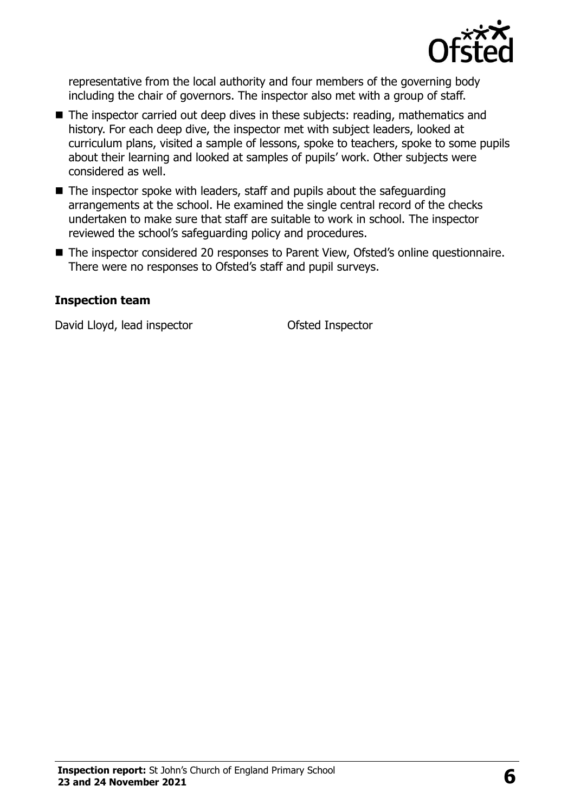

representative from the local authority and four members of the governing body including the chair of governors. The inspector also met with a group of staff.

- The inspector carried out deep dives in these subjects: reading, mathematics and history. For each deep dive, the inspector met with subject leaders, looked at curriculum plans, visited a sample of lessons, spoke to teachers, spoke to some pupils about their learning and looked at samples of pupils' work. Other subjects were considered as well.
- The inspector spoke with leaders, staff and pupils about the safeguarding arrangements at the school. He examined the single central record of the checks undertaken to make sure that staff are suitable to work in school. The inspector reviewed the school's safeguarding policy and procedures.
- The inspector considered 20 responses to Parent View, Ofsted's online questionnaire. There were no responses to Ofsted's staff and pupil surveys.

#### **Inspection team**

David Lloyd, lead inspector **Conservation** Ofsted Inspector